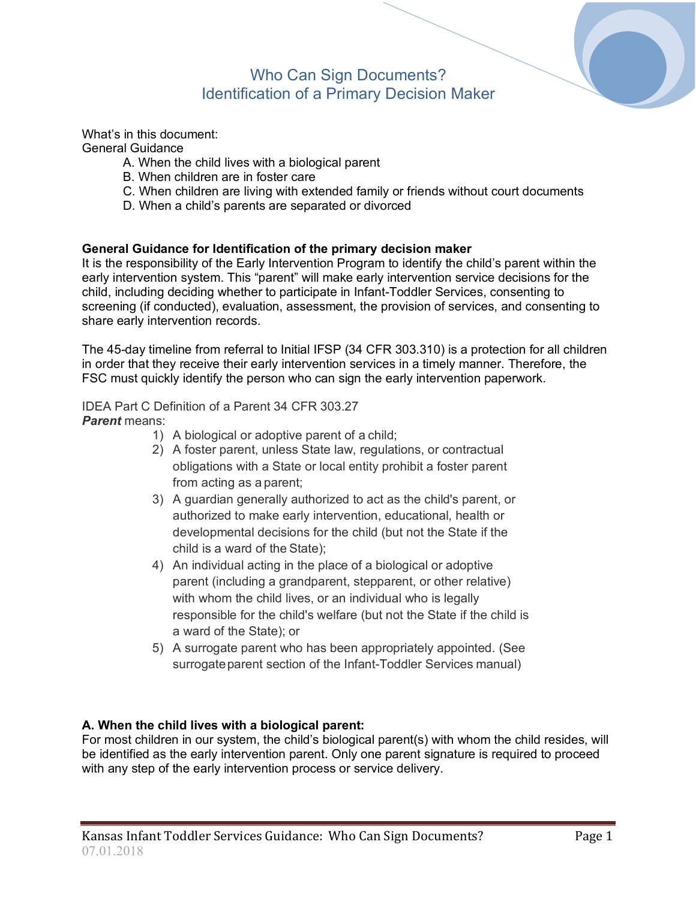# Who Can Sign Documents? Identification of a Primary Decision Maker

What's in this document: General Guidance

- A. When the child lives with a biological parent
- B. When children are in foster care
- C. When children are living with extended family or friends without court documents
- D. When a child's parents are separated or divorced

#### **General Guidance for Identification of the primary decision maker**

It is the responsibility of the Early Intervention Program to identify the child's parent within the early intervention system. This "parent" will make early intervention service decisions for the child, including deciding whether to participate in Infant-Toddler Services, consenting to screening (if conducted), evaluation, assessment, the provision of services, and consenting to share early intervention records.

The 45-day timeline from referral to Initial IFSP (34 CFR 303.310) is a protection for all children in order that they receive their early intervention services in a timely manner. Therefore, the FSC must quickly identify the person who can sign the early intervention paperwork.

#### IDEA Part C Definition of a Parent 34 CFR 303.27 *Parent* means:

- 1) A biological or adoptive parent of a child;
- 2) A foster parent, unless State law, regulations, or contractual obligations with a State or local entity prohibit a foster parent from acting as a parent;
- 3) A guardian generally authorized to act as the child's parent, or authorized to make early intervention, educational, health or developmental decisions for the child (but not the State if the child is a ward of the State);
- 4) An individual acting in the place of a biological or adoptive parent (including a grandparent, stepparent, or other relative) with whom the child lives, or an individual who is legally responsible for the child's welfare (but not the State if the child is a ward of the State); or
- 5) A surrogate parent who has been appropriately appointed. (See surrogate parent section of the Infant-Toddler Services manual)

# **A. When the child lives with a biological parent:**

For most children in our system, the child's biological parent(s) with whom the child resides, will be identified as the early intervention parent. Only one parent signature is required to proceed with any step of the early intervention process or service delivery.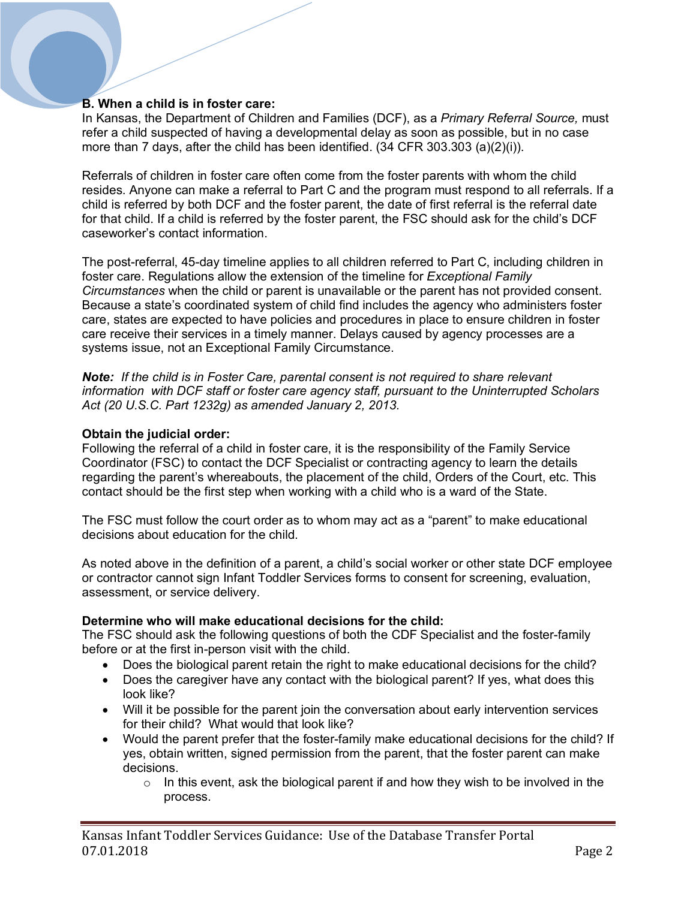# **B. When a child is in foster care:**

In Kansas, the Department of Children and Families (DCF), as a *Primary Referral Source,* must refer a child suspected of having a developmental delay as soon as possible, but in no case more than 7 days, after the child has been identified. (34 CFR 303.303 (a)(2)(i)).

Referrals of children in foster care often come from the foster parents with whom the child resides. Anyone can make a referral to Part C and the program must respond to all referrals. If a child is referred by both DCF and the foster parent, the date of first referral is the referral date for that child. If a child is referred by the foster parent, the FSC should ask for the child's DCF caseworker's contact information.

The post-referral, 45-day timeline applies to all children referred to Part C, including children in foster care. Regulations allow the extension of the timeline for *Exceptional Family Circumstances* when the child or parent is unavailable or the parent has not provided consent. Because a state's coordinated system of child find includes the agency who administers foster care, states are expected to have policies and procedures in place to ensure children in foster care receive their services in a timely manner. Delays caused by agency processes are a systems issue, not an Exceptional Family Circumstance.

*Note: If the child is in Foster Care, parental consent is not required to share relevant information with DCF staff or foster care agency staff, pursuant to the Uninterrupted Scholars Act (20 U.S.C. Part 1232g) as amended January 2, 2013.*

#### **Obtain the judicial order:**

Following the referral of a child in foster care, it is the responsibility of the Family Service Coordinator (FSC) to contact the DCF Specialist or contracting agency to learn the details regarding the parent's whereabouts, the placement of the child, Orders of the Court, etc. This contact should be the first step when working with a child who is a ward of the State.

The FSC must follow the court order as to whom may act as a "parent" to make educational decisions about education for the child.

As noted above in the definition of a parent, a child's social worker or other state DCF employee or contractor cannot sign Infant Toddler Services forms to consent for screening, evaluation, assessment, or service delivery.

#### **Determine who will make educational decisions for the child:**

The FSC should ask the following questions of both the CDF Specialist and the foster-family before or at the first in-person visit with the child.

- Does the biological parent retain the right to make educational decisions for the child?
- Does the caregiver have any contact with the biological parent? If yes, what does this look like?
- Will it be possible for the parent join the conversation about early intervention services for their child? What would that look like?
- Would the parent prefer that the foster-family make educational decisions for the child? If yes, obtain written, signed permission from the parent, that the foster parent can make decisions.
	- $\circ$  In this event, ask the biological parent if and how they wish to be involved in the process.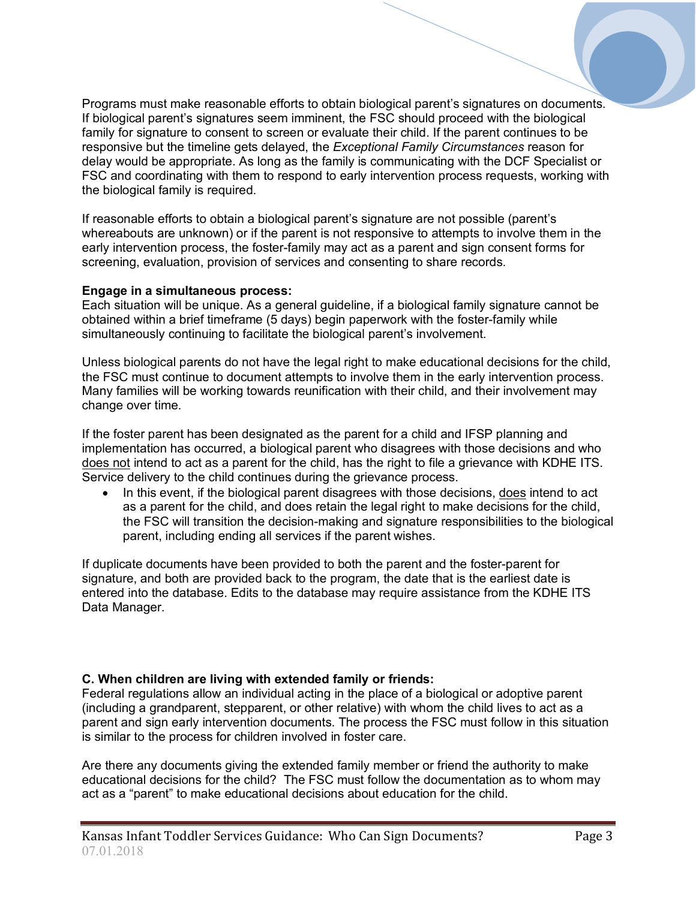Programs must make reasonable efforts to obtain biological parent's signatures on documents. If biological parent's signatures seem imminent, the FSC should proceed with the biological family for signature to consent to screen or evaluate their child. If the parent continues to be responsive but the timeline gets delayed, the *Exceptional Family Circumstances* reason for delay would be appropriate. As long as the family is communicating with the DCF Specialist or FSC and coordinating with them to respond to early intervention process requests, working with the biological family is required.

If reasonable efforts to obtain a biological parent's signature are not possible (parent's whereabouts are unknown) or if the parent is not responsive to attempts to involve them in the early intervention process, the foster-family may act as a parent and sign consent forms for screening, evaluation, provision of services and consenting to share records.

### **Engage in a simultaneous process:**

Each situation will be unique. As a general guideline, if a biological family signature cannot be obtained within a brief timeframe (5 days) begin paperwork with the foster-family while simultaneously continuing to facilitate the biological parent's involvement.

Unless biological parents do not have the legal right to make educational decisions for the child, the FSC must continue to document attempts to involve them in the early intervention process. Many families will be working towards reunification with their child, and their involvement may change over time.

If the foster parent has been designated as the parent for a child and IFSP planning and implementation has occurred, a biological parent who disagrees with those decisions and who does not intend to act as a parent for the child, has the right to file a grievance with KDHE ITS. Service delivery to the child continues during the grievance process.

• In this event, if the biological parent disagrees with those decisions, does intend to act as a parent for the child, and does retain the legal right to make decisions for the child, the FSC will transition the decision-making and signature responsibilities to the biological parent, including ending all services if the parent wishes.

If duplicate documents have been provided to both the parent and the foster-parent for signature, and both are provided back to the program, the date that is the earliest date is entered into the database. Edits to the database may require assistance from the KDHE ITS Data Manager.

# **C. When children are living with extended family or friends:**

Federal regulations allow an individual acting in the place of a biological or adoptive parent (including a grandparent, stepparent, or other relative) with whom the child lives to act as a parent and sign early intervention documents. The process the FSC must follow in this situation is similar to the process for children involved in foster care.

Are there any documents giving the extended family member or friend the authority to make educational decisions for the child? The FSC must follow the documentation as to whom may act as a "parent" to make educational decisions about education for the child.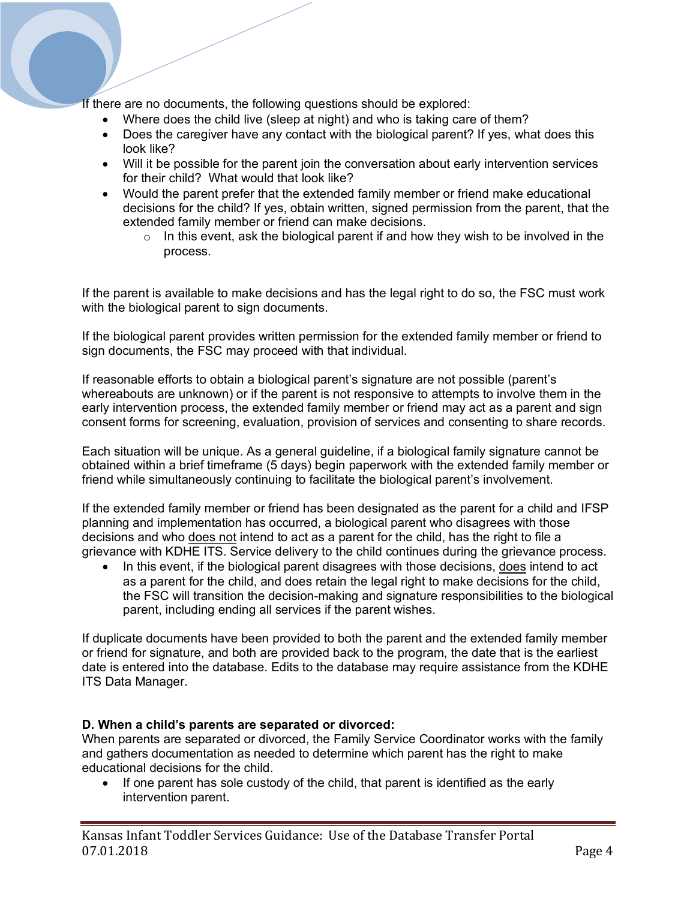If there are no documents, the following questions should be explored:

- Where does the child live (sleep at night) and who is taking care of them?
- Does the caregiver have any contact with the biological parent? If yes, what does this look like?
- Will it be possible for the parent join the conversation about early intervention services for their child? What would that look like?
- Would the parent prefer that the extended family member or friend make educational decisions for the child? If yes, obtain written, signed permission from the parent, that the extended family member or friend can make decisions.
	- $\circ$  In this event, ask the biological parent if and how they wish to be involved in the process.

If the parent is available to make decisions and has the legal right to do so, the FSC must work with the biological parent to sign documents.

If the biological parent provides written permission for the extended family member or friend to sign documents, the FSC may proceed with that individual.

If reasonable efforts to obtain a biological parent's signature are not possible (parent's whereabouts are unknown) or if the parent is not responsive to attempts to involve them in the early intervention process, the extended family member or friend may act as a parent and sign consent forms for screening, evaluation, provision of services and consenting to share records.

Each situation will be unique. As a general guideline, if a biological family signature cannot be obtained within a brief timeframe (5 days) begin paperwork with the extended family member or friend while simultaneously continuing to facilitate the biological parent's involvement.

If the extended family member or friend has been designated as the parent for a child and IFSP planning and implementation has occurred, a biological parent who disagrees with those decisions and who does not intend to act as a parent for the child, has the right to file a grievance with KDHE ITS. Service delivery to the child continues during the grievance process.

• In this event, if the biological parent disagrees with those decisions, does intend to act as a parent for the child, and does retain the legal right to make decisions for the child, the FSC will transition the decision-making and signature responsibilities to the biological parent, including ending all services if the parent wishes.

If duplicate documents have been provided to both the parent and the extended family member or friend for signature, and both are provided back to the program, the date that is the earliest date is entered into the database. Edits to the database may require assistance from the KDHE ITS Data Manager.

#### **D. When a child's parents are separated or divorced:**

When parents are separated or divorced, the Family Service Coordinator works with the family and gathers documentation as needed to determine which parent has the right to make educational decisions for the child.

If one parent has sole custody of the child, that parent is identified as the early intervention parent.